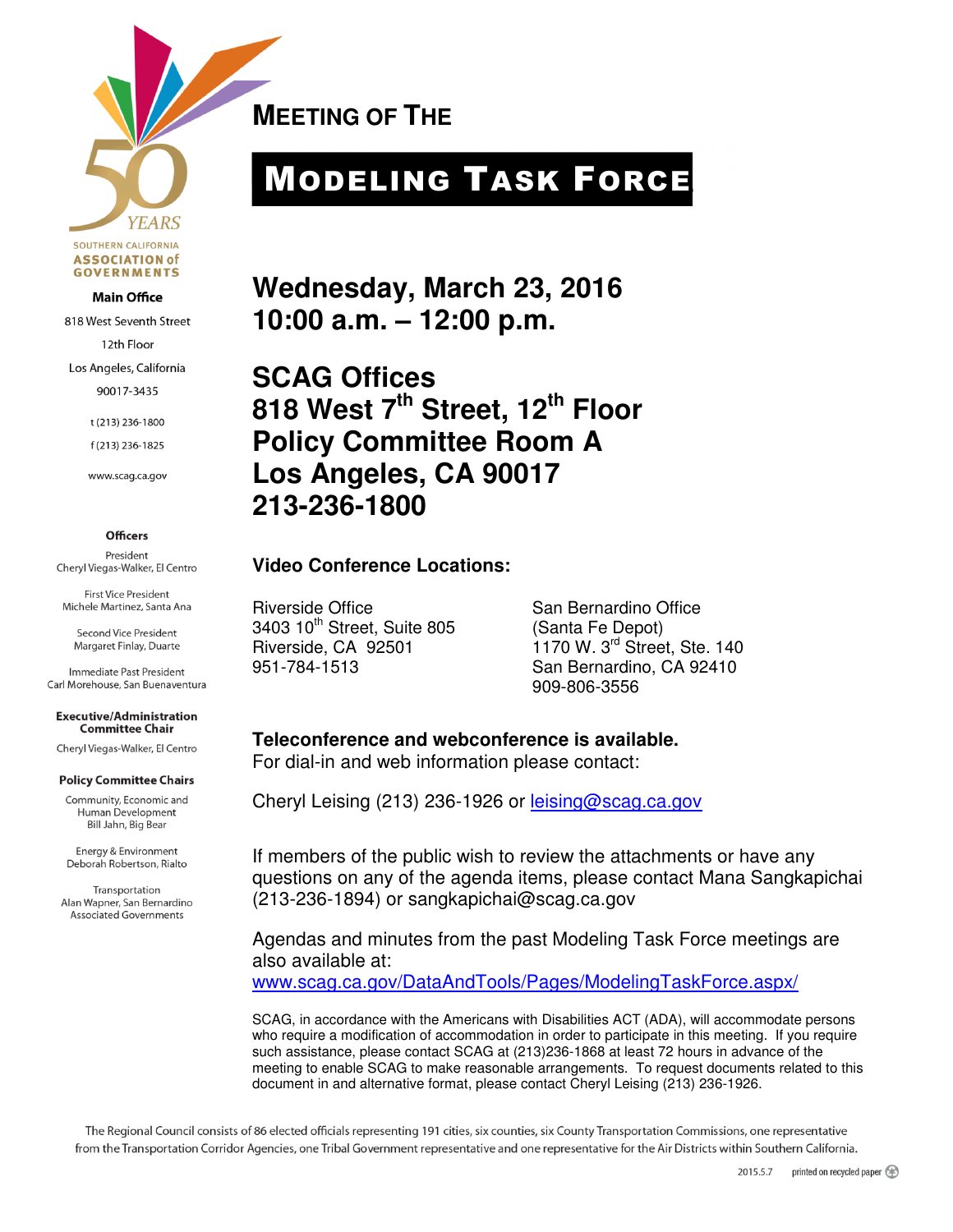

818 West Seventh Street 12th Floor Los Angeles, California 90017-3435

> t (213) 236-1800 f(213) 236-1825

www.scag.ca.gov

**MEETING OF THE** 

# MODELING TASK FORCE

**Wednesday, March 23, 2016 10:00 a.m. – 12:00 p.m.** 

**SCAG Offices 818 West 7th Street, 12th Floor Policy Committee Room A Los Angeles, CA 90017 213-236-1800** 

#### **Video Conference Locations:**

Riverside Office San Bernardino Office 3403 10th Street, Suite 805 (Santa Fe Depot)

Riverside, CA 92501 1170 W. 3<sup>rd</sup> Street, Ste. 140 951-784-1513 San Bernardino, CA 92410 909-806-3556

**Teleconference and webconference is available.**  For dial-in and web information please contact:

Cheryl Leising (213) 236-1926 or leising@scag.ca.gov

If members of the public wish to review the attachments or have any questions on any of the agenda items, please contact Mana Sangkapichai (213-236-1894) or sangkapichai@scag.ca.gov

Agendas and minutes from the past Modeling Task Force meetings are also available at:

www.scag.ca.gov/DataAndTools/Pages/ModelingTaskForce.aspx/

SCAG, in accordance with the Americans with Disabilities ACT (ADA), will accommodate persons who require a modification of accommodation in order to participate in this meeting. If you require such assistance, please contact SCAG at (213)236-1868 at least 72 hours in advance of the meeting to enable SCAG to make reasonable arrangements. To request documents related to this document in and alternative format, please contact Cheryl Leising (213) 236-1926.

The Regional Council consists of 86 elected officials representing 191 cities, six counties, six County Transportation Commissions, one representative from the Transportation Corridor Agencies, one Tribal Government representative and one representative for the Air Districts within Southern California.

**Officers** 

President Cheryl Viegas-Walker, El Centro

**First Vice President** Michele Martinez, Santa Ana

Second Vice President Margaret Finlay, Duarte

Immediate Past President Carl Morehouse, San Buenaventura

**Executive/Administration Committee Chair** 

Cheryl Viegas-Walker, El Centro

#### **Policy Committee Chairs**

Community, Economic and Human Development Bill Jahn, Big Bear

Energy & Environment Deborah Robertson, Rialto

Transportation Alan Wapner, San Bernardino **Associated Governments**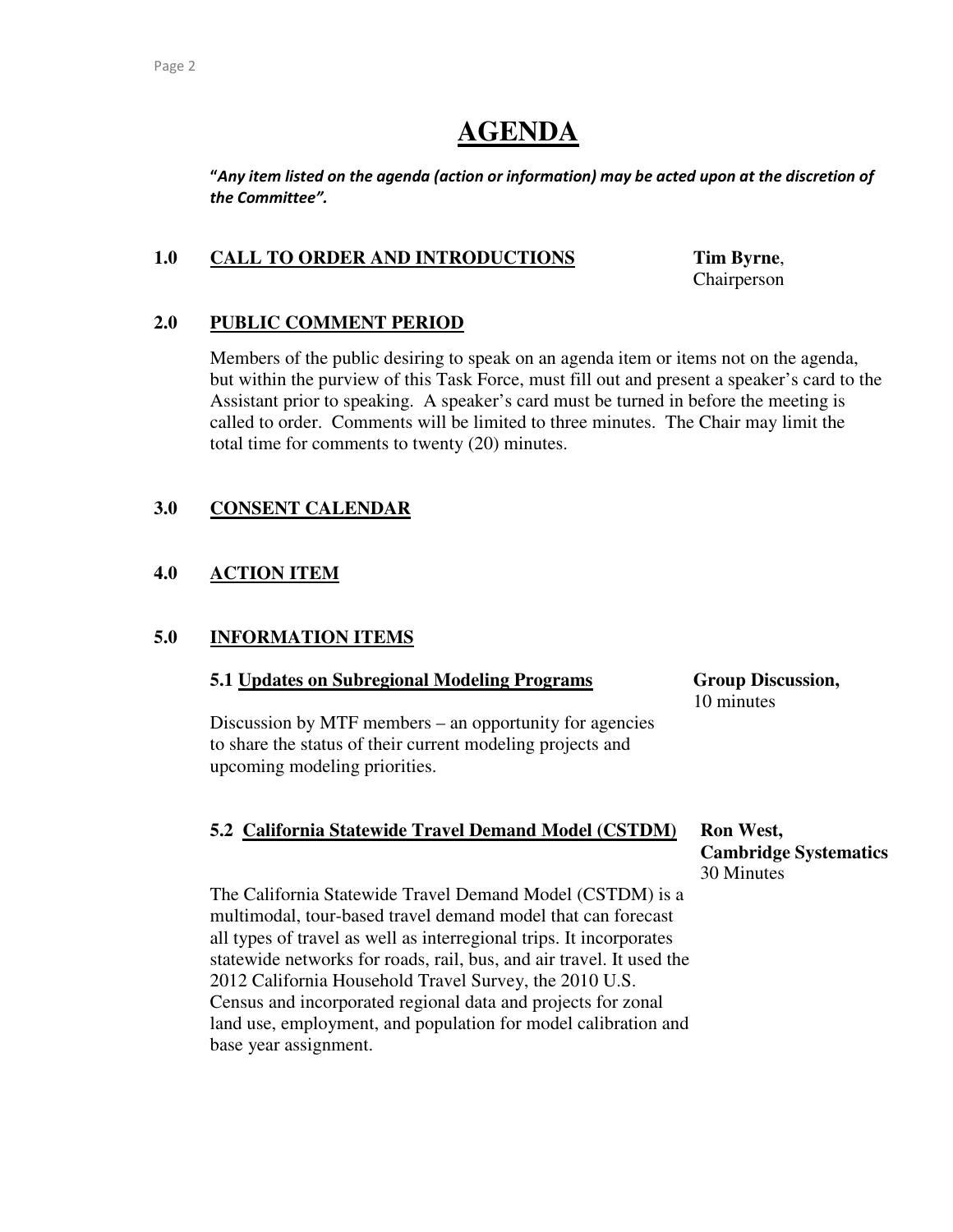### **AGENDA**

"Any item listed on the agenda (action or information) may be acted upon at the discretion of the Committee".

#### **1.0 CALL TO ORDER AND INTRODUCTIONS Tim Byrne**,

Chairperson

#### **2.0 PUBLIC COMMENT PERIOD**

Members of the public desiring to speak on an agenda item or items not on the agenda, but within the purview of this Task Force, must fill out and present a speaker's card to the Assistant prior to speaking. A speaker's card must be turned in before the meeting is called to order. Comments will be limited to three minutes. The Chair may limit the total time for comments to twenty (20) minutes.

#### **3.0 CONSENT CALENDAR**

### **4.0 ACTION ITEM**

#### **5.0 INFORMATION ITEMS**

#### **5.1 Updates on Subregional Modeling Programs Group Discussion,**

Discussion by MTF members – an opportunity for agencies to share the status of their current modeling projects and upcoming modeling priorities.

## 10 minutes

#### **5.2 California Statewide Travel Demand Model (CSTDM) Ron West,**

 **Cambridge Systematics** 30 Minutes

The California Statewide Travel Demand Model (CSTDM) is a multimodal, tour-based travel demand model that can forecast all types of travel as well as interregional trips. It incorporates statewide networks for roads, rail, bus, and air travel. It used the 2012 California Household Travel Survey, the 2010 U.S. Census and incorporated regional data and projects for zonal land use, employment, and population for model calibration and base year assignment.